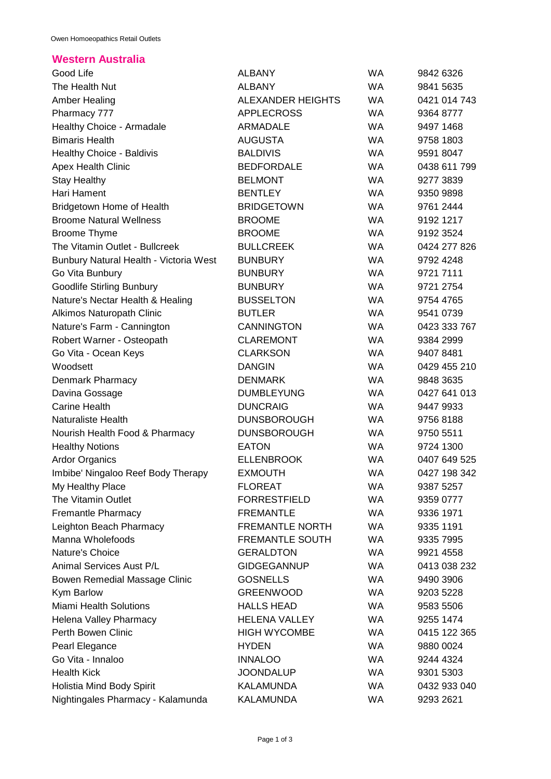## **Western Australia**

| Good Life                              | <b>ALBANY</b>            | <b>WA</b> | 9842 6326    |
|----------------------------------------|--------------------------|-----------|--------------|
| The Health Nut                         | <b>ALBANY</b>            | <b>WA</b> | 9841 5635    |
| <b>Amber Healing</b>                   | <b>ALEXANDER HEIGHTS</b> | <b>WA</b> | 0421 014 743 |
| Pharmacy 777                           | <b>APPLECROSS</b>        | <b>WA</b> | 9364 8777    |
| Healthy Choice - Armadale              | <b>ARMADALE</b>          | <b>WA</b> | 9497 1468    |
| <b>Bimaris Health</b>                  | <b>AUGUSTA</b>           | <b>WA</b> | 9758 1803    |
| <b>Healthy Choice - Baldivis</b>       | <b>BALDIVIS</b>          | <b>WA</b> | 9591 8047    |
| <b>Apex Health Clinic</b>              | <b>BEDFORDALE</b>        | <b>WA</b> | 0438 611 799 |
| <b>Stay Healthy</b>                    | <b>BELMONT</b>           | <b>WA</b> | 9277 3839    |
| Hari Hament                            | <b>BENTLEY</b>           | <b>WA</b> | 9350 9898    |
| <b>Bridgetown Home of Health</b>       | <b>BRIDGETOWN</b>        | <b>WA</b> | 9761 2444    |
| <b>Broome Natural Wellness</b>         | <b>BROOME</b>            | <b>WA</b> | 9192 1217    |
| <b>Broome Thyme</b>                    | <b>BROOME</b>            | <b>WA</b> | 9192 3524    |
| The Vitamin Outlet - Bullcreek         | <b>BULLCREEK</b>         | <b>WA</b> | 0424 277 826 |
| Bunbury Natural Health - Victoria West | <b>BUNBURY</b>           | <b>WA</b> | 9792 4248    |
| Go Vita Bunbury                        | <b>BUNBURY</b>           | <b>WA</b> | 9721 7111    |
| <b>Goodlife Stirling Bunbury</b>       | <b>BUNBURY</b>           | <b>WA</b> | 9721 2754    |
| Nature's Nectar Health & Healing       | <b>BUSSELTON</b>         | <b>WA</b> | 9754 4765    |
| <b>Alkimos Naturopath Clinic</b>       | <b>BUTLER</b>            | <b>WA</b> | 9541 0739    |
| Nature's Farm - Cannington             | <b>CANNINGTON</b>        | <b>WA</b> | 0423 333 767 |
| Robert Warner - Osteopath              | <b>CLAREMONT</b>         | <b>WA</b> | 9384 2999    |
| Go Vita - Ocean Keys                   | <b>CLARKSON</b>          | <b>WA</b> | 9407 8481    |
| Woodsett                               | <b>DANGIN</b>            | <b>WA</b> | 0429 455 210 |
| Denmark Pharmacy                       | <b>DENMARK</b>           | <b>WA</b> | 9848 3635    |
| Davina Gossage                         | <b>DUMBLEYUNG</b>        | <b>WA</b> | 0427 641 013 |
| <b>Carine Health</b>                   | <b>DUNCRAIG</b>          | <b>WA</b> | 9447 9933    |
| <b>Naturaliste Health</b>              | <b>DUNSBOROUGH</b>       | <b>WA</b> | 9756 8188    |
|                                        | <b>DUNSBOROUGH</b>       | WA        |              |
| Nourish Health Food & Pharmacy         |                          |           | 9750 5511    |
| <b>Healthy Notions</b>                 | <b>EATON</b>             | <b>WA</b> | 9724 1300    |
| <b>Ardor Organics</b>                  | <b>ELLENBROOK</b>        | <b>WA</b> | 0407 649 525 |
| Imbibe' Ningaloo Reef Body Therapy     | <b>EXMOUTH</b>           | <b>WA</b> | 0427 198 342 |
| My Healthy Place                       | <b>FLOREAT</b>           | WA        | 9387 5257    |
| The Vitamin Outlet                     | <b>FORRESTFIELD</b>      | <b>WA</b> | 9359 0777    |
| <b>Fremantle Pharmacy</b>              | <b>FREMANTLE</b>         | <b>WA</b> | 9336 1971    |
| Leighton Beach Pharmacy                | <b>FREMANTLE NORTH</b>   | WA.       | 9335 1191    |
| Manna Wholefoods                       | <b>FREMANTLE SOUTH</b>   | <b>WA</b> | 9335 7995    |
| Nature's Choice                        | <b>GERALDTON</b>         | <b>WA</b> | 9921 4558    |
| Animal Services Aust P/L               | <b>GIDGEGANNUP</b>       | WA.       | 0413 038 232 |
| Bowen Remedial Massage Clinic          | <b>GOSNELLS</b>          | <b>WA</b> | 9490 3906    |
| Kym Barlow                             | <b>GREENWOOD</b>         | <b>WA</b> | 9203 5228    |
| <b>Miami Health Solutions</b>          | <b>HALLS HEAD</b>        | WA.       | 9583 5506    |
| <b>Helena Valley Pharmacy</b>          | <b>HELENA VALLEY</b>     | <b>WA</b> | 9255 1474    |
| Perth Bowen Clinic                     | <b>HIGH WYCOMBE</b>      | WA.       | 0415 122 365 |
| Pearl Elegance                         | <b>HYDEN</b>             | <b>WA</b> | 9880 0024    |
| Go Vita - Innaloo                      | <b>INNALOO</b>           | <b>WA</b> | 9244 4324    |
| <b>Health Kick</b>                     | <b>JOONDALUP</b>         | WA.       | 9301 5303    |
| Holistia Mind Body Spirit              | KALAMUNDA                | WA        | 0432 933 040 |
| Nightingales Pharmacy - Kalamunda      | <b>KALAMUNDA</b>         | WA        | 9293 2621    |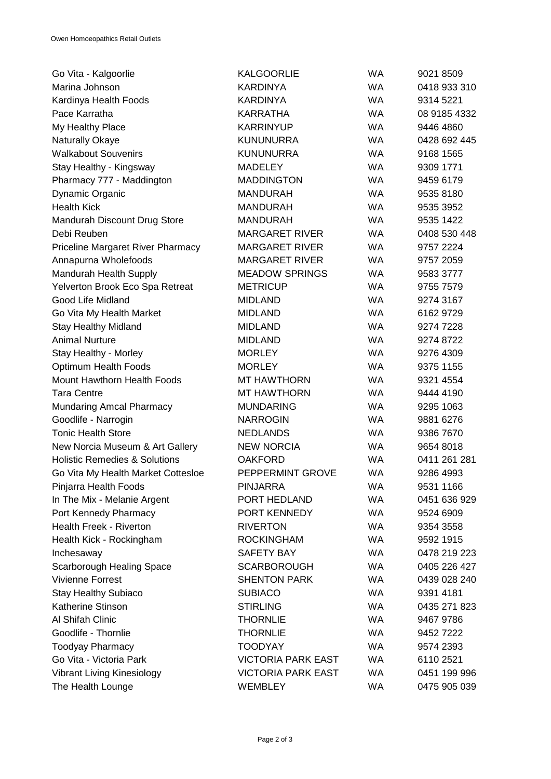| Go Vita - Kalgoorlie                     | <b>KALGOORLIE</b>         | <b>WA</b> | 9021 8509    |
|------------------------------------------|---------------------------|-----------|--------------|
| Marina Johnson                           | <b>KARDINYA</b>           | <b>WA</b> | 0418 933 310 |
| Kardinya Health Foods                    | <b>KARDINYA</b>           | <b>WA</b> | 9314 5221    |
| Pace Karratha                            | <b>KARRATHA</b>           | <b>WA</b> | 08 9185 4332 |
| My Healthy Place                         | <b>KARRINYUP</b>          | <b>WA</b> | 9446 4860    |
| Naturally Okaye                          | <b>KUNUNURRA</b>          | <b>WA</b> | 0428 692 445 |
| <b>Walkabout Souvenirs</b>               | <b>KUNUNURRA</b>          | <b>WA</b> | 9168 1565    |
| Stay Healthy - Kingsway                  | <b>MADELEY</b>            | <b>WA</b> | 9309 1771    |
| Pharmacy 777 - Maddington                | <b>MADDINGTON</b>         | <b>WA</b> | 9459 6179    |
| Dynamic Organic                          | <b>MANDURAH</b>           | <b>WA</b> | 9535 8180    |
| <b>Health Kick</b>                       | <b>MANDURAH</b>           | <b>WA</b> | 9535 3952    |
| Mandurah Discount Drug Store             | <b>MANDURAH</b>           | <b>WA</b> | 9535 1422    |
| Debi Reuben                              | <b>MARGARET RIVER</b>     | <b>WA</b> | 0408 530 448 |
| <b>Priceline Margaret River Pharmacy</b> | <b>MARGARET RIVER</b>     | <b>WA</b> | 9757 2224    |
| Annapurna Wholefoods                     | <b>MARGARET RIVER</b>     | <b>WA</b> | 9757 2059    |
| Mandurah Health Supply                   | <b>MEADOW SPRINGS</b>     | <b>WA</b> | 9583 3777    |
| Yelverton Brook Eco Spa Retreat          | <b>METRICUP</b>           | WA        | 9755 7579    |
| Good Life Midland                        | <b>MIDLAND</b>            | <b>WA</b> | 9274 3167    |
| Go Vita My Health Market                 | <b>MIDLAND</b>            | <b>WA</b> | 6162 9729    |
| <b>Stay Healthy Midland</b>              | <b>MIDLAND</b>            | <b>WA</b> | 9274 7228    |
| <b>Animal Nurture</b>                    | <b>MIDLAND</b>            | <b>WA</b> | 9274 8722    |
| Stay Healthy - Morley                    | <b>MORLEY</b>             | <b>WA</b> | 9276 4309    |
| Optimum Health Foods                     | <b>MORLEY</b>             | <b>WA</b> | 9375 1155    |
| Mount Hawthorn Health Foods              | <b>MT HAWTHORN</b>        | <b>WA</b> | 9321 4554    |
| <b>Tara Centre</b>                       | <b>MT HAWTHORN</b>        | <b>WA</b> | 9444 4190    |
| Mundaring Amcal Pharmacy                 | <b>MUNDARING</b>          | <b>WA</b> | 9295 1063    |
| Goodlife - Narrogin                      | <b>NARROGIN</b>           | <b>WA</b> | 9881 6276    |
| <b>Tonic Health Store</b>                | <b>NEDLANDS</b>           | <b>WA</b> | 9386 7670    |
| New Norcia Museum & Art Gallery          | <b>NEW NORCIA</b>         | <b>WA</b> | 9654 8018    |
| <b>Holistic Remedies &amp; Solutions</b> | <b>OAKFORD</b>            | <b>WA</b> | 0411 261 281 |
| Go Vita My Health Market Cottesloe       | PEPPERMINT GROVE          | <b>WA</b> | 9286 4993    |
| Pinjarra Health Foods                    | PINJARRA                  | WA        | 9531 1166    |
| In The Mix - Melanie Argent              | PORT HEDLAND              | <b>WA</b> | 0451 636 929 |
| Port Kennedy Pharmacy                    | PORT KENNEDY              | WA.       | 9524 6909    |
| <b>Health Freek - Riverton</b>           | <b>RIVERTON</b>           | <b>WA</b> | 9354 3558    |
| Health Kick - Rockingham                 | <b>ROCKINGHAM</b>         | WA.       | 9592 1915    |
| Inchesaway                               | <b>SAFETY BAY</b>         | <b>WA</b> | 0478 219 223 |
| Scarborough Healing Space                | <b>SCARBOROUGH</b>        | <b>WA</b> | 0405 226 427 |
| <b>Vivienne Forrest</b>                  | <b>SHENTON PARK</b>       | <b>WA</b> | 0439 028 240 |
| <b>Stay Healthy Subiaco</b>              | <b>SUBIACO</b>            | <b>WA</b> | 9391 4181    |
| <b>Katherine Stinson</b>                 | <b>STIRLING</b>           | WA.       | 0435 271 823 |
| Al Shifah Clinic                         | <b>THORNLIE</b>           | <b>WA</b> | 9467 9786    |
| Goodlife - Thornlie                      | <b>THORNLIE</b>           | <b>WA</b> | 9452 7222    |
| <b>Toodyay Pharmacy</b>                  | <b>TOODYAY</b>            | WA.       | 9574 2393    |
| Go Vita - Victoria Park                  | <b>VICTORIA PARK EAST</b> | <b>WA</b> | 6110 2521    |
| Vibrant Living Kinesiology               | <b>VICTORIA PARK EAST</b> | WA        | 0451 199 996 |
| The Health Lounge                        | <b>WEMBLEY</b>            | WA        | 0475 905 039 |